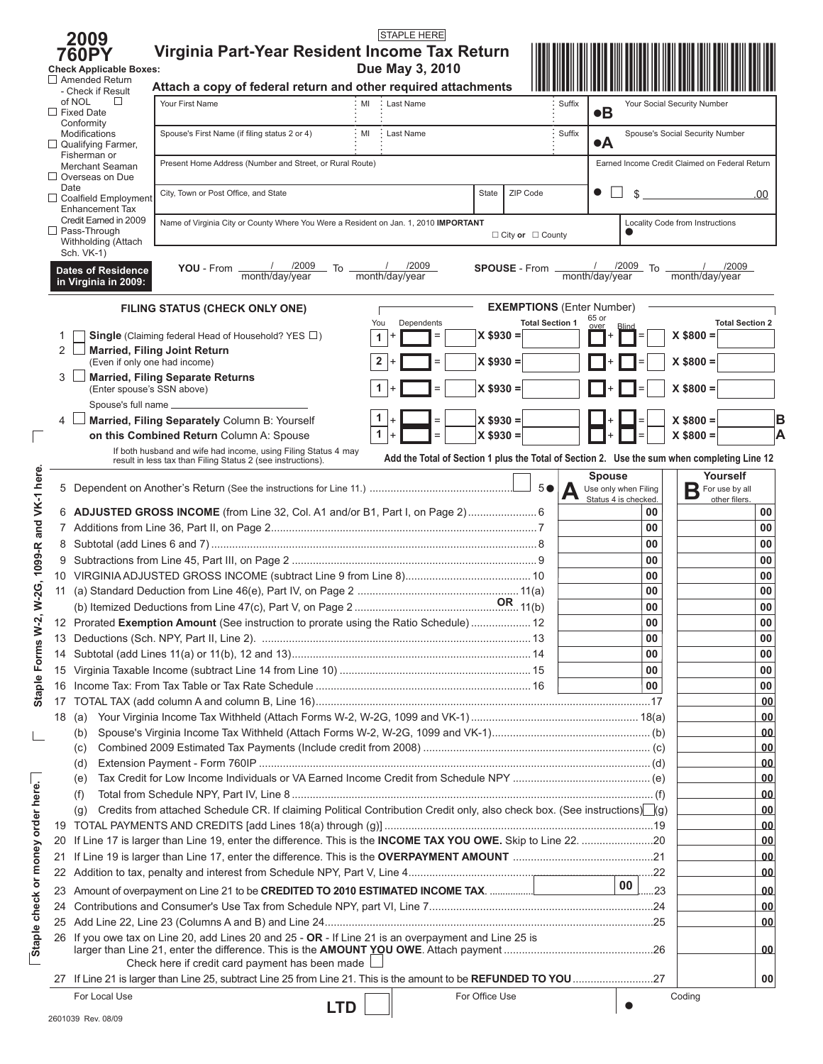|                                   |          | 2009                                                  | <b>STAPLE HERE</b>                                                                                                               |                      |                                  |                |                                              |                                                                                             |          |
|-----------------------------------|----------|-------------------------------------------------------|----------------------------------------------------------------------------------------------------------------------------------|----------------------|----------------------------------|----------------|----------------------------------------------|---------------------------------------------------------------------------------------------|----------|
|                                   |          | <b>760PY</b>                                          | Virginia Part-Year Resident Income Tax Return                                                                                    |                      |                                  |                |                                              |                                                                                             |          |
|                                   |          | <b>Check Applicable Boxes:</b>                        | Due May 3, 2010                                                                                                                  |                      |                                  |                |                                              |                                                                                             |          |
|                                   |          | $\Box$ Amended Return<br>- Check if Result            | Attach a copy of federal return and other required attachments                                                                   |                      |                                  |                |                                              |                                                                                             |          |
|                                   |          | of NOL<br>$\Box$                                      | Your First Name<br>MI<br>Last Name                                                                                               |                      | Suffix                           |                |                                              | Your Social Security Number                                                                 |          |
|                                   |          | $\Box$ Fixed Date<br>Conformity                       |                                                                                                                                  |                      |                                  | $\bullet$ B    |                                              |                                                                                             |          |
|                                   |          | Modifications                                         | MI<br>Spouse's First Name (if filing status 2 or 4)<br>Last Name                                                                 |                      | Suffix                           | $\bullet$ A    |                                              | Spouse's Social Security Number                                                             |          |
|                                   |          | Qualifying Farmer,<br>Fisherman or                    |                                                                                                                                  |                      |                                  |                |                                              |                                                                                             |          |
|                                   |          | Merchant Seaman                                       | Present Home Address (Number and Street, or Rural Route)                                                                         |                      |                                  |                |                                              | Earned Income Credit Claimed on Federal Return                                              |          |
|                                   | $\Box$   | Overseas on Due<br>Date                               | City, Town or Post Office, and State                                                                                             | State                | ZIP Code                         | $\bullet$      | \$                                           |                                                                                             |          |
|                                   |          | $\Box$ Coalfield Employment<br><b>Enhancement Tax</b> |                                                                                                                                  |                      |                                  |                |                                              |                                                                                             | .00      |
|                                   |          | Credit Earned in 2009                                 | Name of Virginia City or County Where You Were a Resident on Jan. 1, 2010 IMPORTANT                                              |                      |                                  |                |                                              | Locality Code from Instructions                                                             |          |
|                                   |          | $\Box$ Pass-Through<br>Withholding (Attach            |                                                                                                                                  |                      | $\Box$ City or $\Box$ County     |                |                                              |                                                                                             |          |
|                                   |          | Sch. VK-1)                                            |                                                                                                                                  |                      |                                  |                |                                              |                                                                                             |          |
|                                   |          | <b>Dates of Residence</b>                             | /2009<br>/2009<br>YOU - From<br>. To<br>month/day/year<br>month/day/year                                                         | <b>SPOUSE</b> - From |                                  | month/day/year | /2009<br>To                                  | /2009<br>month/day/year                                                                     |          |
|                                   |          | in Virginia in 2009:                                  |                                                                                                                                  |                      |                                  |                |                                              |                                                                                             |          |
|                                   |          |                                                       | FILING STATUS (CHECK ONLY ONE)                                                                                                   |                      | <b>EXEMPTIONS (Enter Number)</b> |                |                                              |                                                                                             |          |
|                                   |          |                                                       | You<br>Dependents                                                                                                                |                      | <b>Total Section 1</b>           | 65 or          |                                              | <b>Total Section 2</b>                                                                      |          |
|                                   |          |                                                       | <b>Single</b> (Claiming federal Head of Household? YES $\Box$ )<br>$=$<br>1                                                      | $X$ \$930 =          |                                  |                |                                              | $X$ \$800 =                                                                                 |          |
|                                   | 2        | (Even if only one had income)                         | <b>Married, Filing Joint Return</b><br>$\overline{2}$                                                                            | $X $930 =$           |                                  |                |                                              | $X$ \$800 =                                                                                 |          |
|                                   | 3        |                                                       | <b>Married, Filing Separate Returns</b>                                                                                          |                      |                                  |                |                                              |                                                                                             |          |
|                                   |          | (Enter spouse's SSN above)                            |                                                                                                                                  | $X $930 =$           |                                  |                |                                              | $X$ \$800 =                                                                                 |          |
|                                   |          | Spouse's full name _                                  |                                                                                                                                  |                      |                                  |                |                                              |                                                                                             |          |
|                                   | 4        |                                                       | Married, Filing Separately Column B: Yourself                                                                                    | $X$ \$930 =          |                                  |                |                                              | $X$ \$800 =                                                                                 | B        |
|                                   |          |                                                       | 1<br>$\overline{+}$<br>$=$<br>on this Combined Return Column A: Spouse                                                           | $X $930 =$           |                                  |                |                                              | $X$ \$800 =                                                                                 | A        |
|                                   |          |                                                       | If both husband and wife had income, using Filing Status 4 may<br>result in less tax than Filing Status 2 (see instructions).    |                      |                                  |                |                                              | Add the Total of Section 1 plus the Total of Section 2. Use the sum when completing Line 12 |          |
|                                   |          |                                                       |                                                                                                                                  |                      |                                  | <b>Spouse</b>  |                                              | Yourself                                                                                    |          |
| 1099-R and VK-1 here.             |          |                                                       |                                                                                                                                  |                      | 5 <sup>°</sup><br>А              |                | Use only when Filing<br>Status 4 is checked. | For use by all<br>Β<br>other filers.                                                        |          |
|                                   |          |                                                       | 6 ADJUSTED GROSS INCOME (from Line 32, Col. A1 and/or B1, Part I, on Page 2)                                                     |                      |                                  |                | 00                                           |                                                                                             | 00       |
|                                   |          |                                                       |                                                                                                                                  |                      |                                  |                | 00                                           |                                                                                             | 00       |
|                                   | 8        |                                                       |                                                                                                                                  |                      |                                  |                | 00                                           |                                                                                             | 00       |
|                                   | 9        |                                                       |                                                                                                                                  |                      |                                  |                | 00                                           |                                                                                             | 00       |
|                                   |          |                                                       |                                                                                                                                  |                      |                                  |                | 00                                           |                                                                                             | 00       |
| W-2G,                             | 11       |                                                       |                                                                                                                                  |                      |                                  |                | 00                                           |                                                                                             | 00       |
|                                   |          |                                                       |                                                                                                                                  |                      |                                  |                | 00                                           |                                                                                             | 00       |
| ų.                                |          |                                                       | 12 Prorated Exemption Amount (See instruction to prorate using the Ratio Schedule)  12                                           |                      |                                  |                | 00                                           |                                                                                             | 00       |
|                                   |          |                                                       |                                                                                                                                  |                      |                                  |                | 00                                           |                                                                                             | 00       |
|                                   | 14       |                                                       |                                                                                                                                  |                      |                                  |                | 00                                           |                                                                                             | 00       |
|                                   |          |                                                       |                                                                                                                                  |                      |                                  |                | 00                                           |                                                                                             | 00       |
| <b>Staple Forms W</b>             | 16       |                                                       |                                                                                                                                  |                      |                                  |                | 00                                           |                                                                                             | 00<br>00 |
|                                   | 17<br>18 | (a)                                                   |                                                                                                                                  |                      |                                  |                |                                              |                                                                                             | 00       |
|                                   |          | (b)                                                   |                                                                                                                                  |                      |                                  |                |                                              |                                                                                             | 00       |
|                                   |          | (c)                                                   |                                                                                                                                  |                      |                                  |                |                                              |                                                                                             | 00       |
|                                   |          | (d)                                                   |                                                                                                                                  |                      |                                  |                |                                              |                                                                                             | 00       |
|                                   |          | (e)                                                   |                                                                                                                                  |                      |                                  |                |                                              |                                                                                             | 00       |
|                                   |          | (f)                                                   |                                                                                                                                  |                      |                                  |                |                                              |                                                                                             | 00       |
| Staple check or money order here. |          | (g)                                                   | Credits from attached Schedule CR. If claiming Political Contribution Credit only, also check box. (See instructions) $\Box$ (g) |                      |                                  |                |                                              |                                                                                             | 00       |
|                                   | 19       |                                                       |                                                                                                                                  |                      |                                  |                |                                              |                                                                                             | 00       |
|                                   | 20       |                                                       | If Line 17 is larger than Line 19, enter the difference. This is the INCOME TAX YOU OWE. Skip to Line 22. 20                     |                      |                                  |                |                                              |                                                                                             | 00       |
|                                   | 21       |                                                       |                                                                                                                                  |                      |                                  |                |                                              |                                                                                             | 00       |
|                                   | 22       |                                                       |                                                                                                                                  |                      |                                  |                | .22<br>00                                    |                                                                                             | 00       |
|                                   | 23       |                                                       |                                                                                                                                  |                      |                                  |                | .23                                          |                                                                                             | 00       |
|                                   | 24       |                                                       |                                                                                                                                  |                      |                                  |                |                                              |                                                                                             | 00       |
|                                   |          |                                                       |                                                                                                                                  |                      |                                  |                |                                              |                                                                                             | 00       |
|                                   | 26       |                                                       | If you owe tax on Line 20, add Lines 20 and 25 - OR - If Line 21 is an overpayment and Line 25 is                                |                      |                                  |                |                                              |                                                                                             | 00       |
|                                   |          |                                                       | Check here if credit card payment has been made L                                                                                |                      |                                  |                |                                              |                                                                                             |          |
|                                   |          |                                                       |                                                                                                                                  |                      |                                  |                |                                              |                                                                                             | 00       |
|                                   |          | For Local Use                                         |                                                                                                                                  | For Office Use       |                                  |                |                                              | Coding                                                                                      |          |
|                                   |          | 2601030 Pey 08/00                                     | <b>LTD</b>                                                                                                                       |                      |                                  |                |                                              |                                                                                             |          |